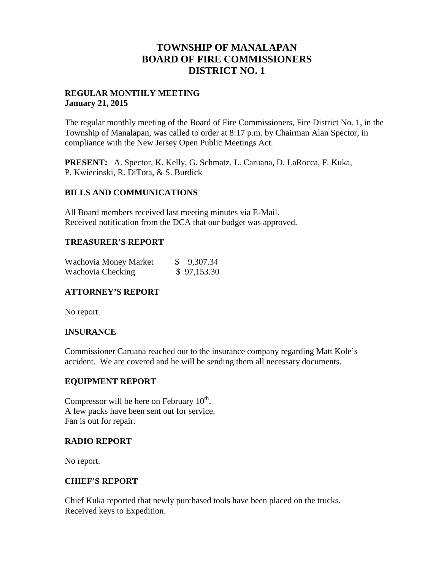# **TOWNSHIP OF MANALAPAN BOARD OF FIRE COMMISSIONERS DISTRICT NO. 1**

## **REGULAR MONTHLY MEETING January 21, 2015**

The regular monthly meeting of the Board of Fire Commissioners, Fire District No. 1, in the Township of Manalapan, was called to order at 8:17 p.m. by Chairman Alan Spector, in compliance with the New Jersey Open Public Meetings Act.

**PRESENT:** A. Spector, K. Kelly, G. Schmatz, L. Caruana, D. LaRocca, F. Kuka, P. Kwiecinski, R. DiTota, & S. Burdick

## **BILLS AND COMMUNICATIONS**

All Board members received last meeting minutes via E-Mail. Received notification from the DCA that our budget was approved.

## **TREASURER'S REPORT**

| Wachovia Money Market | \$ 9,307.34 |
|-----------------------|-------------|
| Wachovia Checking     | \$97,153.30 |

# **ATTORNEY'S REPORT**

No report.

# **INSURANCE**

Commissioner Caruana reached out to the insurance company regarding Matt Kole's accident. We are covered and he will be sending them all necessary documents.

### **EQUIPMENT REPORT**

Compressor will be here on February  $10^{th}$ . A few packs have been sent out for service. Fan is out for repair.

### **RADIO REPORT**

No report.

# **CHIEF'S REPORT**

Chief Kuka reported that newly purchased tools have been placed on the trucks. Received keys to Expedition.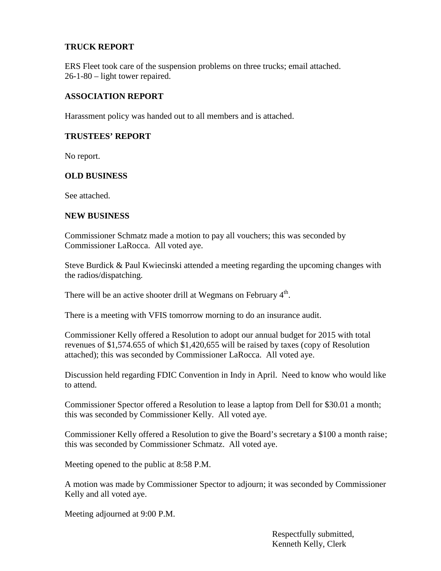## **TRUCK REPORT**

ERS Fleet took care of the suspension problems on three trucks; email attached. 26-1-80 – light tower repaired.

### **ASSOCIATION REPORT**

Harassment policy was handed out to all members and is attached.

#### **TRUSTEES' REPORT**

No report.

#### **OLD BUSINESS**

See attached.

#### **NEW BUSINESS**

Commissioner Schmatz made a motion to pay all vouchers; this was seconded by Commissioner LaRocca. All voted aye.

Steve Burdick & Paul Kwiecinski attended a meeting regarding the upcoming changes with the radios/dispatching.

There will be an active shooter drill at Wegmans on February 4<sup>th</sup>.

There is a meeting with VFIS tomorrow morning to do an insurance audit.

Commissioner Kelly offered a Resolution to adopt our annual budget for 2015 with total revenues of \$1,574.655 of which \$1,420,655 will be raised by taxes (copy of Resolution attached); this was seconded by Commissioner LaRocca. All voted aye.

Discussion held regarding FDIC Convention in Indy in April. Need to know who would like to attend.

Commissioner Spector offered a Resolution to lease a laptop from Dell for \$30.01 a month; this was seconded by Commissioner Kelly. All voted aye.

Commissioner Kelly offered a Resolution to give the Board's secretary a \$100 a month raise; this was seconded by Commissioner Schmatz. All voted aye.

Meeting opened to the public at 8:58 P.M.

A motion was made by Commissioner Spector to adjourn; it was seconded by Commissioner Kelly and all voted aye.

Meeting adjourned at 9:00 P.M.

Respectfully submitted, Kenneth Kelly, Clerk